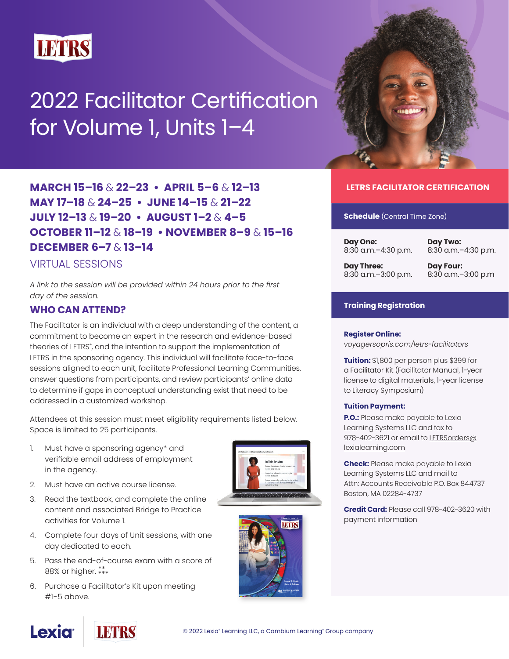

# 2022 Facilitator Certification for Volume 1, Units 1–4

**MARCH 15–16** & **22–23 • APRIL 5–6** & **12–13 MAY 17–18** & **24–25 • JUNE 14–15** & **21–22 JULY 12–13** & **19–20 • AUGUST 1–2** & **4–5 OCTOBER 11–12** & **18–19 • NOVEMBER 8–9** & **15–16 DECEMBER 6–7** & **13–14** 

## VIRTUAL SESSIONS

*A link to the session will be provided within 24 hours prior to the first day of the session.*

## **WHO CAN ATTEND?**

The Facilitator is an individual with a deep understanding of the content, a commitment to become an expert in the research and evidence-based theories of LETRS°, and the intention to support the implementation of LETRS in the sponsoring agency. This individual will facilitate face-to-face sessions aligned to each unit, facilitate Professional Learning Communities, answer questions from participants, and review participants' online data to determine if gaps in conceptual understanding exist that need to be addressed in a customized workshop.

Attendees at this session must meet eligibility requirements listed below. Space is limited to 25 participants.

- 1. Must have a sponsoring agency\* and verifiable email address of employment in the agency.
- 2. Must have an active course license.
- 3. Read the textbook, and complete the online content and associated Bridge to Practice activities for Volume 1.
- 4. Complete four days of Unit sessions, with one day dedicated to each.
- 5. Pass the end-of-course exam with a score of 88% or higher. \*\* \*\*\*
- 6. Purchase a Facilitator's Kit upon meeting #1-5 above.

**LETRS** 

**Lexia**<sup>®</sup>





© 2022 Lexia® Learning LLC, a Cambium Learning® Group company



## **LETRS FACILITATOR CERTIFICATION**

**Schedule** (Central Time Zone)

8:30 a.m.–4:30 p.m. **Day Three:**  8:30 a.m.–3:00 p.m.

**Day One:**

**Day Two:** 8:30 a.m.–4:30 p.m.

**Day Four:**  8:30 a.m.–3:00 p.m

### **Training Registration**

#### **Register Online:**

*[voyagersopris.com/letrs-facilitators](http://www.voyagersopris.com/letrs-facilitators)*

**Tuition:** \$1,800 per person plus \$399 for a Facilitator Kit (Facilitator Manual, 1-year license to digital materials, 1-year license to Literacy Symposium)

#### **Tuition Payment:**

**P.O.:** Please make payable to Lexia Learning Systems LLC and fax to 978-402-3621 or email to [LETRSorders@](mailto:LETRSorders%40lexialearning.com?subject=) [lexialearning.com](mailto:LETRSorders%40lexialearning.com?subject=)

**Check:** Please make payable to Lexia Learning Systems LLC and mail to Attn: Accounts Receivable P.O. Box 844737 Boston, MA 02284-4737

**Credit Card:** Please call 978-402-3620 with payment information